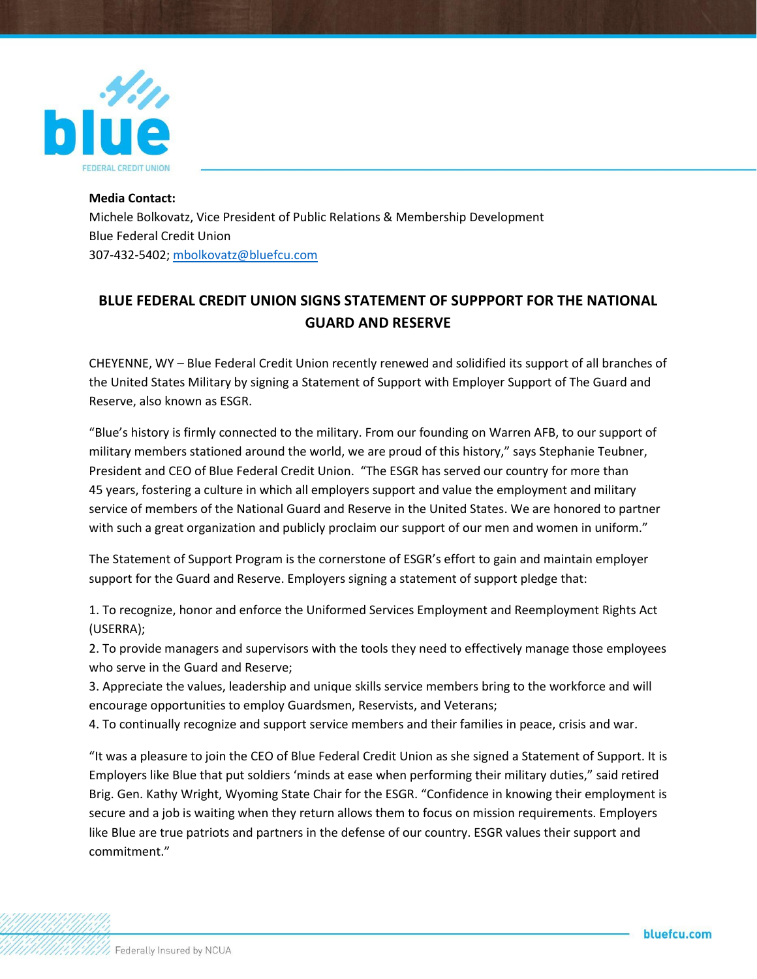

**Media Contact:** Michele Bolkovatz, Vice President of Public Relations & Membership Development Blue Federal Credit Union 307-432-5402; [mbolkovatz@bluefcu.com](mailto:mbolkovatz@bluefcu.com)

## **BLUE FEDERAL CREDIT UNION SIGNS STATEMENT OF SUPPPORT FOR THE NATIONAL GUARD AND RESERVE**

CHEYENNE, WY – Blue Federal Credit Union recently renewed and solidified its support of all branches of the United States Military by signing a Statement of Support with Employer Support of The Guard and Reserve, also known as ESGR.

"Blue's history is firmly connected to the military. From our founding on Warren AFB, to our support of military members stationed around the world, we are proud of this history," says Stephanie Teubner, President and CEO of Blue Federal Credit Union. "The ESGR has served our country for more than 45 years, fostering a culture in which all employers support and value the employment and military service of members of the National Guard and Reserve in the United States. We are honored to partner with such a great organization and publicly proclaim our support of our men and women in uniform."

The Statement of Support Program is the cornerstone of ESGR's effort to gain and maintain employer support for the Guard and Reserve. Employers signing a statement of support pledge that:

1. To recognize, honor and enforce the Uniformed Services Employment and Reemployment Rights Act (USERRA);

2. To provide managers and supervisors with the tools they need to effectively manage those employees who serve in the Guard and Reserve;

3. Appreciate the values, leadership and unique skills service members bring to the workforce and will encourage opportunities to employ Guardsmen, Reservists, and Veterans;

4. To continually recognize and support service members and their families in peace, crisis and war.

"It was a pleasure to join the CEO of Blue Federal Credit Union as she signed a Statement of Support. It is Employers like Blue that put soldiers 'minds at ease when performing their military duties," said retired Brig. Gen. Kathy Wright, Wyoming State Chair for the ESGR. "Confidence in knowing their employment is secure and a job is waiting when they return allows them to focus on mission requirements. Employers like Blue are true patriots and partners in the defense of our country. ESGR values their support and commitment."